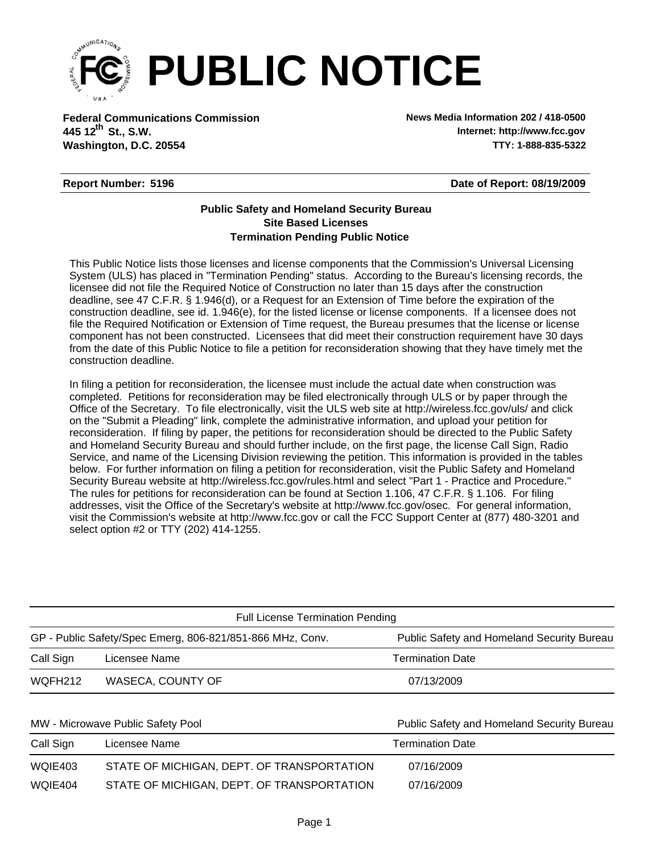

**Federal Communications Commission News Media Information 202 / 418-0500 Washington, D.C. 20554 TTY: 1-888-835-5322 445 12 St., S.W. th**

**Internet: http://www.fcc.gov**

## **Report Number: 5196**

**Date of Report: 08/19/2009**

## **Termination Pending Public Notice Site Based Licenses Public Safety and Homeland Security Bureau**

This Public Notice lists those licenses and license components that the Commission's Universal Licensing System (ULS) has placed in "Termination Pending" status. According to the Bureau's licensing records, the licensee did not file the Required Notice of Construction no later than 15 days after the construction deadline, see 47 C.F.R. § 1.946(d), or a Request for an Extension of Time before the expiration of the construction deadline, see id. 1.946(e), for the listed license or license components. If a licensee does not file the Required Notification or Extension of Time request, the Bureau presumes that the license or license component has not been constructed. Licensees that did meet their construction requirement have 30 days from the date of this Public Notice to file a petition for reconsideration showing that they have timely met the construction deadline.

In filing a petition for reconsideration, the licensee must include the actual date when construction was completed. Petitions for reconsideration may be filed electronically through ULS or by paper through the Office of the Secretary. To file electronically, visit the ULS web site at http://wireless.fcc.gov/uls/ and click on the "Submit a Pleading" link, complete the administrative information, and upload your petition for reconsideration. If filing by paper, the petitions for reconsideration should be directed to the Public Safety and Homeland Security Bureau and should further include, on the first page, the license Call Sign, Radio Service, and name of the Licensing Division reviewing the petition. This information is provided in the tables below. For further information on filing a petition for reconsideration, visit the Public Safety and Homeland Security Bureau website at http://wireless.fcc.gov/rules.html and select "Part 1 - Practice and Procedure." The rules for petitions for reconsideration can be found at Section 1.106, 47 C.F.R. § 1.106. For filing addresses, visit the Office of the Secretary's website at http://www.fcc.gov/osec. For general information, visit the Commission's website at http://www.fcc.gov or call the FCC Support Center at (877) 480-3201 and select option #2 or TTY (202) 414-1255.

| Public Safety and Homeland Security Bureau |
|--------------------------------------------|
| <b>Termination Date</b>                    |
| 07/13/2009                                 |
|                                            |

| MW - Microwave Public Safety Pool |                                            | Public Safety and Homeland Security Bureau |  |  |  |  |
|-----------------------------------|--------------------------------------------|--------------------------------------------|--|--|--|--|
| Call Sign<br>Licensee Name        |                                            | <b>Termination Date</b>                    |  |  |  |  |
| WQIE403                           | STATE OF MICHIGAN, DEPT. OF TRANSPORTATION | 07/16/2009                                 |  |  |  |  |
| WQIE404                           | STATE OF MICHIGAN, DEPT. OF TRANSPORTATION | 07/16/2009                                 |  |  |  |  |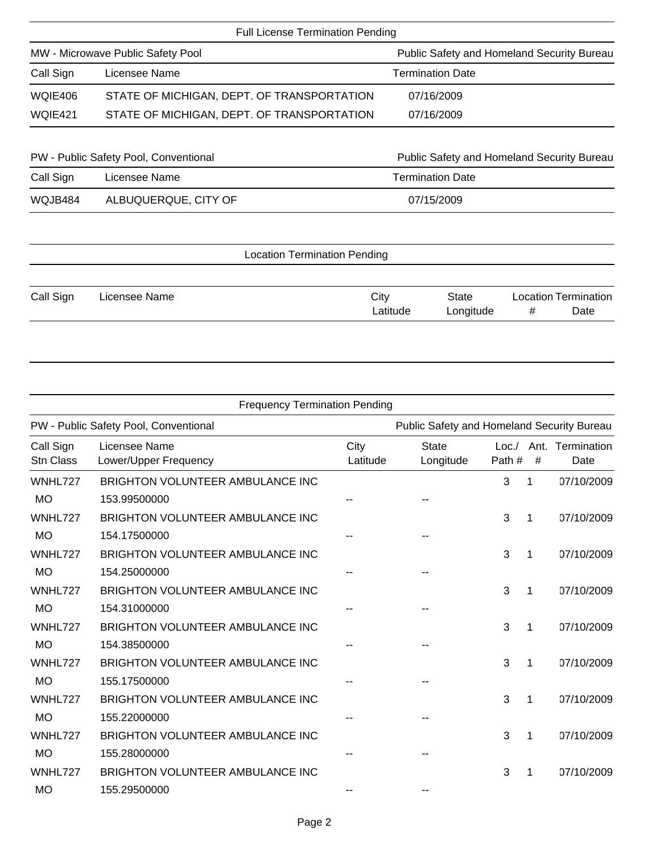|                                   | <b>Full License Termination Pending</b>    |            |                                                   |   |                             |  |
|-----------------------------------|--------------------------------------------|------------|---------------------------------------------------|---|-----------------------------|--|
| MW - Microwave Public Safety Pool |                                            |            | <b>Public Safety and Homeland Security Bureau</b> |   |                             |  |
| Call Sign                         | Licensee Name                              |            | <b>Termination Date</b>                           |   |                             |  |
| WQIE406                           | STATE OF MICHIGAN, DEPT. OF TRANSPORTATION |            | 07/16/2009                                        |   |                             |  |
| WQIE421                           | STATE OF MICHIGAN, DEPT. OF TRANSPORTATION |            | 07/16/2009                                        |   |                             |  |
|                                   |                                            |            |                                                   |   |                             |  |
|                                   | PW - Public Safety Pool, Conventional      |            | <b>Public Safety and Homeland Security Bureau</b> |   |                             |  |
| Call Sign                         | Licensee Name                              |            | <b>Termination Date</b>                           |   |                             |  |
| WQJB484                           | ALBUQUERQUE, CITY OF                       | 07/15/2009 |                                                   |   |                             |  |
|                                   |                                            |            |                                                   |   |                             |  |
|                                   | <b>Location Termination Pending</b>        |            |                                                   |   |                             |  |
| Call Sign                         | Licensee Name                              | City       | <b>State</b>                                      |   | <b>Location Termination</b> |  |
|                                   |                                            | Latitude   | Longitude                                         | # | Date                        |  |

| <b>Frequency Termination Pending</b>                                                |                                         |                  |                           |                  |      |                          |  |  |
|-------------------------------------------------------------------------------------|-----------------------------------------|------------------|---------------------------|------------------|------|--------------------------|--|--|
| PW - Public Safety Pool, Conventional<br>Public Safety and Homeland Security Bureau |                                         |                  |                           |                  |      |                          |  |  |
| Call Sign<br><b>Stn Class</b>                                                       | Licensee Name<br>Lower/Upper Frequency  | City<br>Latitude | <b>State</b><br>Longitude | Loc. /<br>Path # | $\#$ | Ant. Termination<br>Date |  |  |
| WNHL727                                                                             | <b>BRIGHTON VOLUNTEER AMBULANCE INC</b> |                  |                           | 3                | 1    | 07/10/2009               |  |  |
| <b>MO</b>                                                                           | 153.99500000                            |                  |                           |                  |      |                          |  |  |
| WNHL727                                                                             | BRIGHTON VOLUNTEER AMBULANCE INC        |                  |                           | 3                | 1    | 07/10/2009               |  |  |
| <b>MO</b>                                                                           | 154.17500000                            |                  |                           |                  |      |                          |  |  |
| WNHL727                                                                             | BRIGHTON VOLUNTEER AMBULANCE INC        |                  |                           | 3                | 1    | 07/10/2009               |  |  |
| <b>MO</b>                                                                           | 154.25000000                            |                  |                           |                  |      |                          |  |  |
| WNHL727                                                                             | BRIGHTON VOLUNTEER AMBULANCE INC        |                  |                           | 3                | 1    | 07/10/2009               |  |  |
| <b>MO</b>                                                                           | 154.31000000                            |                  |                           |                  |      |                          |  |  |
| WNHL727                                                                             | <b>BRIGHTON VOLUNTEER AMBULANCE INC</b> |                  |                           | 3                | 1    | 07/10/2009               |  |  |
| <b>MO</b>                                                                           | 154.38500000                            |                  |                           |                  |      |                          |  |  |
| WNHL727                                                                             | <b>BRIGHTON VOLUNTEER AMBULANCE INC</b> |                  |                           | 3                | 1    | 07/10/2009               |  |  |
| <b>MO</b>                                                                           | 155.17500000                            |                  |                           |                  |      |                          |  |  |
| WNHL727                                                                             | BRIGHTON VOLUNTEER AMBULANCE INC        |                  |                           | 3                | 1    | 07/10/2009               |  |  |
| <b>MO</b>                                                                           | 155.22000000                            |                  |                           |                  |      |                          |  |  |
| WNHL727                                                                             | <b>BRIGHTON VOLUNTEER AMBULANCE INC</b> |                  |                           | 3                | 1    | 07/10/2009               |  |  |
| <b>MO</b>                                                                           | 155.28000000                            |                  |                           |                  |      |                          |  |  |
| WNHL727                                                                             | <b>BRIGHTON VOLUNTEER AMBULANCE INC</b> |                  |                           | 3                | 1    | 07/10/2009               |  |  |
| <b>MO</b>                                                                           | 155.29500000                            |                  |                           |                  |      |                          |  |  |